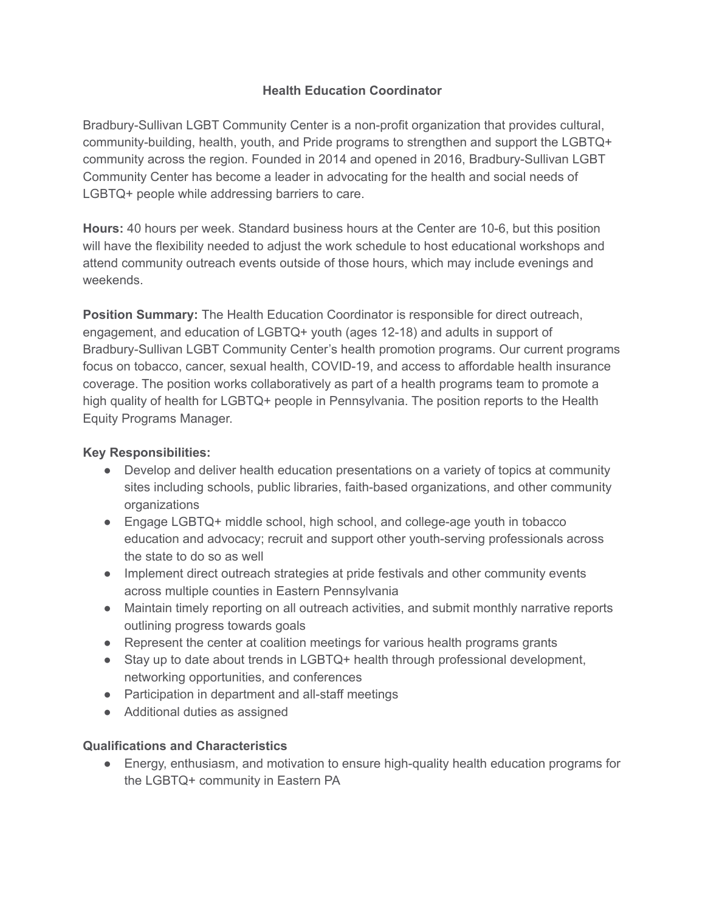## **Health Education Coordinator**

Bradbury-Sullivan LGBT Community Center is a non-profit organization that provides cultural, community-building, health, youth, and Pride programs to strengthen and support the LGBTQ+ community across the region. Founded in 2014 and opened in 2016, Bradbury-Sullivan LGBT Community Center has become a leader in advocating for the health and social needs of LGBTQ+ people while addressing barriers to care.

**Hours:** 40 hours per week. Standard business hours at the Center are 10-6, but this position will have the flexibility needed to adjust the work schedule to host educational workshops and attend community outreach events outside of those hours, which may include evenings and weekends.

**Position Summary:** The Health Education Coordinator is responsible for direct outreach, engagement, and education of LGBTQ+ youth (ages 12-18) and adults in support of Bradbury-Sullivan LGBT Community Center's health promotion programs. Our current programs focus on tobacco, cancer, sexual health, COVID-19, and access to affordable health insurance coverage. The position works collaboratively as part of a health programs team to promote a high quality of health for LGBTQ+ people in Pennsylvania. The position reports to the Health Equity Programs Manager.

# **Key Responsibilities:**

- Develop and deliver health education presentations on a variety of topics at community sites including schools, public libraries, faith-based organizations, and other community organizations
- Engage LGBTQ+ middle school, high school, and college-age youth in tobacco education and advocacy; recruit and support other youth-serving professionals across the state to do so as well
- Implement direct outreach strategies at pride festivals and other community events across multiple counties in Eastern Pennsylvania
- Maintain timely reporting on all outreach activities, and submit monthly narrative reports outlining progress towards goals
- Represent the center at coalition meetings for various health programs grants
- Stay up to date about trends in LGBTQ+ health through professional development, networking opportunities, and conferences
- Participation in department and all-staff meetings
- Additional duties as assigned

## **Qualifications and Characteristics**

● Energy, enthusiasm, and motivation to ensure high-quality health education programs for the LGBTQ+ community in Eastern PA